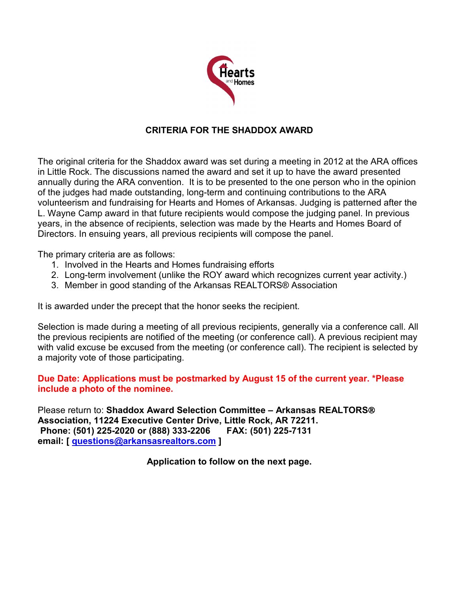

## **CRITERIA FOR THE SHADDOX AWARD**

The original criteria for the Shaddox award was set during a meeting in 2012 at the ARA offices in Little Rock. The discussions named the award and set it up to have the award presented annually during the ARA convention. It is to be presented to the one person who in the opinion of the judges had made outstanding, long-term and continuing contributions to the ARA volunteerism and fundraising for Hearts and Homes of Arkansas. Judging is patterned after the L. Wayne Camp award in that future recipients would compose the judging panel. In previous years, in the absence of recipients, selection was made by the Hearts and Homes Board of Directors. In ensuing years, all previous recipients will compose the panel.

The primary criteria are as follows:

- 1. Involved in the Hearts and Homes fundraising efforts
- 2. Long-term involvement (unlike the ROY award which recognizes current year activity.)
- 3. Member in good standing of the Arkansas REALTORS® Association

It is awarded under the precept that the honor seeks the recipient.

Selection is made during a meeting of all previous recipients, generally via a conference call. All the previous recipients are notified of the meeting (or conference call). A previous recipient may with valid excuse be excused from the meeting (or conference call). The recipient is selected by a majority vote of those participating.

## **Due Date: Applications must be postmarked by August 15 of the current year. \*Please include a photo of the nominee.**

Please return to: **Shaddox Award Selection Committee – Arkansas REALTORS Association, 11224 Executive Center Drive, Little Rock, AR 72211. Phone: (501) 225-2020 or (888) 333-2206 FAX: (501) 225-7131 email: [ [questions@arkansasrealtors.com](mailto:questions@arkansasrealtors.com) ]**

**Application to follow on the next page.**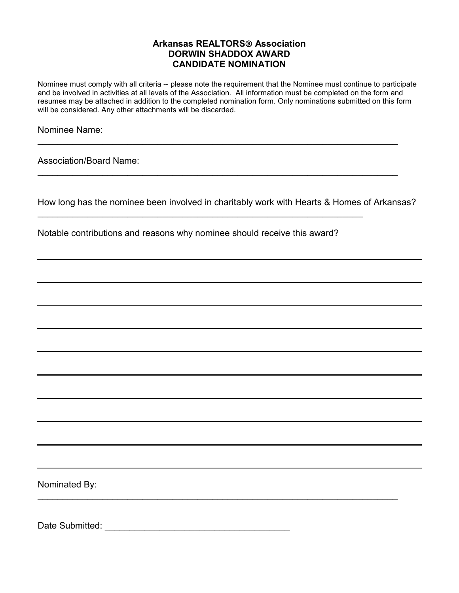## **Arkansas REALTORS Association DORWIN SHADDOX AWARD CANDIDATE NOMINATION**

Nominee must comply with all criteria -- please note the requirement that the Nominee must continue to participate and be involved in activities at all levels of the Association. All information must be completed on the form and resumes may be attached in addition to the completed nomination form. Only nominations submitted on this form will be considered. Any other attachments will be discarded.

 $\overline{a}$  , and the contribution of the contribution of the contribution of the contribution of the contribution of the contribution of the contribution of the contribution of the contribution of the contribution of the co

\_\_\_\_\_\_\_\_\_\_\_\_\_\_\_\_\_\_\_\_\_\_\_\_\_\_\_\_\_\_\_\_\_\_\_\_\_\_\_\_\_\_\_\_\_\_\_\_\_\_\_\_\_\_\_\_\_\_\_\_\_\_\_\_\_\_\_\_\_\_\_\_

 $\_$  , and the set of the set of the set of the set of the set of the set of the set of the set of the set of the set of the set of the set of the set of the set of the set of the set of the set of the set of the set of th

Nominee Name:

Association/Board Name:

How long has the nominee been involved in charitably work with Hearts & Homes of Arkansas?

Notable contributions and reasons why nominee should receive this award?

 $\overline{\phantom{a}}$  , and the contribution of the contribution of the contribution of the contribution of the contribution of the contribution of the contribution of the contribution of the contribution of the contribution of the

Nominated By:

Date Submitted: